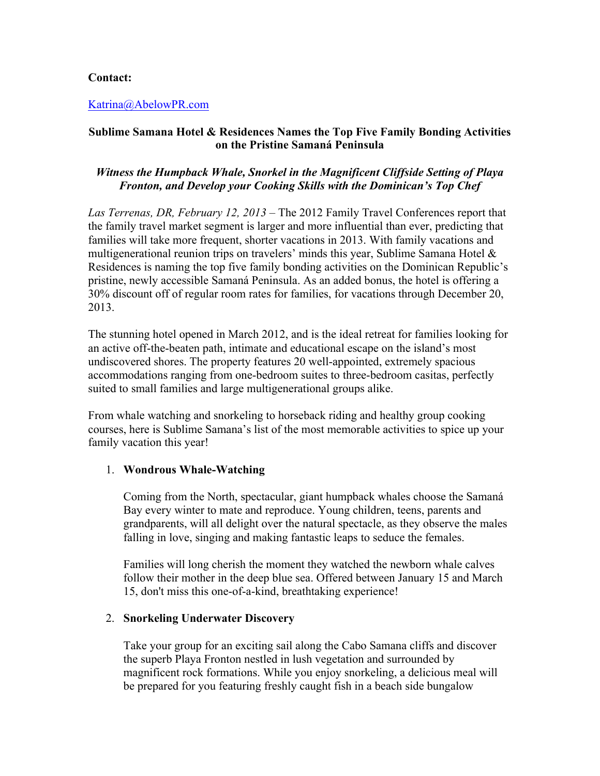# **Contact:**

### Katrina@AbelowPR.com

# **Sublime Samana Hotel & Residences Names the Top Five Family Bonding Activities on the Pristine Samaná Peninsula**

# *Witness the Humpback Whale, Snorkel in the Magnificent Cliffside Setting of Playa Fronton, and Develop your Cooking Skills with the Dominican's Top Chef*

*Las Terrenas, DR, February 12, 2013* – The 2012 Family Travel Conferences report that the family travel market segment is larger and more influential than ever, predicting that families will take more frequent, shorter vacations in 2013. With family vacations and multigenerational reunion trips on travelers' minds this year, Sublime Samana Hotel & Residences is naming the top five family bonding activities on the Dominican Republic's pristine, newly accessible Samaná Peninsula. As an added bonus, the hotel is offering a 30% discount off of regular room rates for families, for vacations through December 20, 2013.

The stunning hotel opened in March 2012, and is the ideal retreat for families looking for an active off-the-beaten path, intimate and educational escape on the island's most undiscovered shores. The property features 20 well-appointed, extremely spacious accommodations ranging from one-bedroom suites to three-bedroom casitas, perfectly suited to small families and large multigenerational groups alike.

From whale watching and snorkeling to horseback riding and healthy group cooking courses, here is Sublime Samana's list of the most memorable activities to spice up your family vacation this year!

### 1. **Wondrous Whale-Watching**

Coming from the North, spectacular, giant humpback whales choose the Samaná Bay every winter to mate and reproduce. Young children, teens, parents and grandparents, will all delight over the natural spectacle, as they observe the males falling in love, singing and making fantastic leaps to seduce the females.

Families will long cherish the moment they watched the newborn whale calves follow their mother in the deep blue sea. Offered between January 15 and March 15, don't miss this one-of-a-kind, breathtaking experience!

#### 2. **Snorkeling Underwater Discovery**

Take your group for an exciting sail along the Cabo Samana cliffs and discover the superb Playa Fronton nestled in lush vegetation and surrounded by magnificent rock formations. While you enjoy snorkeling, a delicious meal will be prepared for you featuring freshly caught fish in a beach side bungalow